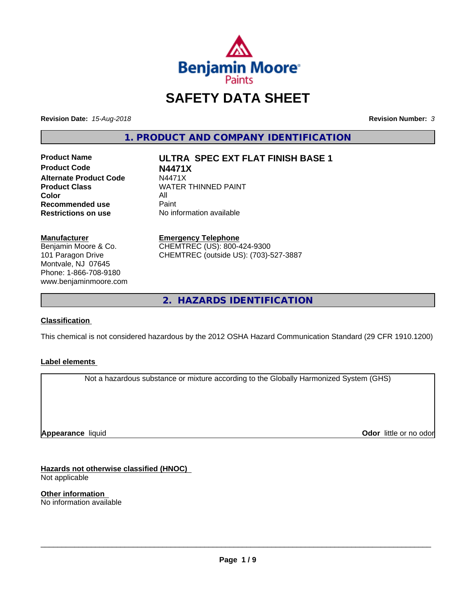

# **SAFETY DATA SHEET**

**Revision Date:** *15-Aug-2018* **Revision Number:** *3*

**1. PRODUCT AND COMPANY IDENTIFICATION**

**Product Code N4471X Alternate Product Code** N4471X<br>Product Class WATER **Color** All<br> **Recommended use** Paint **Recommended use**<br>Restrictions on use

**Product Name ULTRA SPEC EXT FLAT FINISH BASE 1**

**WATER THINNED PAINT No information available** 

**Manufacturer**

Benjamin Moore & Co. 101 Paragon Drive Montvale, NJ 07645 Phone: 1-866-708-9180 www.benjaminmoore.com

### **Emergency Telephone**

CHEMTREC (US): 800-424-9300 CHEMTREC (outside US): (703)-527-3887

**2. HAZARDS IDENTIFICATION**

### **Classification**

This chemical is not considered hazardous by the 2012 OSHA Hazard Communication Standard (29 CFR 1910.1200)

### **Label elements**

Not a hazardous substance or mixture according to the Globally Harmonized System (GHS)

**Appearance** liquid

**Odor** little or no odor

**Hazards not otherwise classified (HNOC)** Not applicable

**Other information** No information available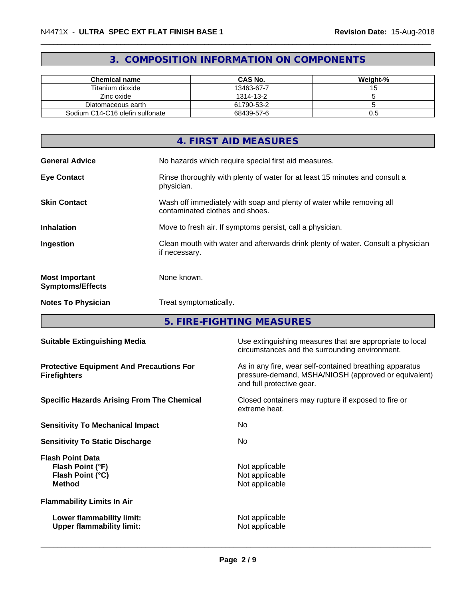## **3. COMPOSITION INFORMATION ON COMPONENTS**

| <b>Chemical name</b>            | <b>CAS No.</b> | Weight-% |
|---------------------------------|----------------|----------|
| Titanium dioxide                | 13463-67-7     |          |
| Zinc oxide                      | 1314-13-2      |          |
| Diatomaceous earth              | 61790-53-2     |          |
| Sodium C14-C16 olefin sulfonate | 68439-57-6     | U.5      |

|                                                  | 4. FIRST AID MEASURES                                                                                    |
|--------------------------------------------------|----------------------------------------------------------------------------------------------------------|
| <b>General Advice</b>                            | No hazards which require special first aid measures.                                                     |
| <b>Eye Contact</b>                               | Rinse thoroughly with plenty of water for at least 15 minutes and consult a<br>physician.                |
| <b>Skin Contact</b>                              | Wash off immediately with soap and plenty of water while removing all<br>contaminated clothes and shoes. |
| <b>Inhalation</b>                                | Move to fresh air. If symptoms persist, call a physician.                                                |
| Ingestion                                        | Clean mouth with water and afterwards drink plenty of water. Consult a physician<br>if necessary.        |
| <b>Most Important</b><br><b>Symptoms/Effects</b> | None known.                                                                                              |
| <b>Notes To Physician</b>                        | Treat symptomatically.                                                                                   |

**5. FIRE-FIGHTING MEASURES**

| <b>Suitable Extinguishing Media</b>                                              | Use extinguishing measures that are appropriate to local<br>circumstances and the surrounding environment.                                   |
|----------------------------------------------------------------------------------|----------------------------------------------------------------------------------------------------------------------------------------------|
| <b>Protective Equipment And Precautions For</b><br><b>Firefighters</b>           | As in any fire, wear self-contained breathing apparatus<br>pressure-demand, MSHA/NIOSH (approved or equivalent)<br>and full protective gear. |
| <b>Specific Hazards Arising From The Chemical</b>                                | Closed containers may rupture if exposed to fire or<br>extreme heat.                                                                         |
| <b>Sensitivity To Mechanical Impact</b>                                          | No                                                                                                                                           |
| <b>Sensitivity To Static Discharge</b>                                           | No.                                                                                                                                          |
| <b>Flash Point Data</b><br>Flash Point (°F)<br>Flash Point (°C)<br><b>Method</b> | Not applicable<br>Not applicable<br>Not applicable                                                                                           |
| <b>Flammability Limits In Air</b>                                                |                                                                                                                                              |
| Lower flammability limit:<br><b>Upper flammability limit:</b>                    | Not applicable<br>Not applicable                                                                                                             |
|                                                                                  |                                                                                                                                              |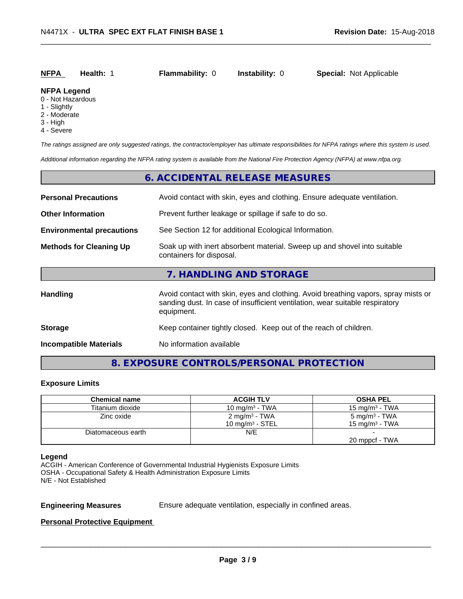# **NFPA Health:** 1 **Flammability:** 0 **Instability:** 0 **Special:** Not Applicable

### **NFPA Legend**

- 0 Not Hazardous
- 1 Slightly
- 2 Moderate
- 3 High
- 4 Severe

*The ratings assigned are only suggested ratings, the contractor/employer has ultimate responsibilities for NFPA ratings where this system is used.*

*Additional information regarding the NFPA rating system is available from the National Fire Protection Agency (NFPA) at www.nfpa.org.*

### **6. ACCIDENTAL RELEASE MEASURES**

| <b>Personal Precautions</b>      | Avoid contact with skin, eyes and clothing. Ensure adequate ventilation.                                                                                                         |  |  |  |
|----------------------------------|----------------------------------------------------------------------------------------------------------------------------------------------------------------------------------|--|--|--|
| <b>Other Information</b>         | Prevent further leakage or spillage if safe to do so.                                                                                                                            |  |  |  |
| <b>Environmental precautions</b> | See Section 12 for additional Ecological Information.                                                                                                                            |  |  |  |
| <b>Methods for Cleaning Up</b>   | Soak up with inert absorbent material. Sweep up and shovel into suitable<br>containers for disposal.                                                                             |  |  |  |
|                                  | 7. HANDLING AND STORAGE                                                                                                                                                          |  |  |  |
| <b>Handling</b>                  | Avoid contact with skin, eyes and clothing. Avoid breathing vapors, spray mists or<br>sanding dust. In case of insufficient ventilation, wear suitable respiratory<br>equipment. |  |  |  |
| <b>Storage</b>                   | Keep container tightly closed. Keep out of the reach of children.                                                                                                                |  |  |  |
| <b>Incompatible Materials</b>    | No information available                                                                                                                                                         |  |  |  |

### **8. EXPOSURE CONTROLS/PERSONAL PROTECTION**

### **Exposure Limits**

| <b>Chemical name</b> | <b>ACGIH TLV</b>          | <b>OSHA PEL</b>           |
|----------------------|---------------------------|---------------------------|
| Titanium dioxide     | 10 mg/m $3$ - TWA         | 15 mg/m $3$ - TWA         |
| Zinc oxide           | 2 mg/m <sup>3</sup> - TWA | 5 mg/m <sup>3</sup> - TWA |
|                      | 10 mg/m $3$ - STEL        | 15 mg/m $3$ - TWA         |
| Diatomaceous earth   | N/E                       |                           |
|                      |                           | 20 mppcf - TWA            |

### **Legend**

ACGIH - American Conference of Governmental Industrial Hygienists Exposure Limits OSHA - Occupational Safety & Health Administration Exposure Limits N/E - Not Established

**Engineering Measures** Ensure adequate ventilation, especially in confined areas.

 $\overline{\phantom{a}}$  ,  $\overline{\phantom{a}}$  ,  $\overline{\phantom{a}}$  ,  $\overline{\phantom{a}}$  ,  $\overline{\phantom{a}}$  ,  $\overline{\phantom{a}}$  ,  $\overline{\phantom{a}}$  ,  $\overline{\phantom{a}}$  ,  $\overline{\phantom{a}}$  ,  $\overline{\phantom{a}}$  ,  $\overline{\phantom{a}}$  ,  $\overline{\phantom{a}}$  ,  $\overline{\phantom{a}}$  ,  $\overline{\phantom{a}}$  ,  $\overline{\phantom{a}}$  ,  $\overline{\phantom{a}}$ 

### **Personal Protective Equipment**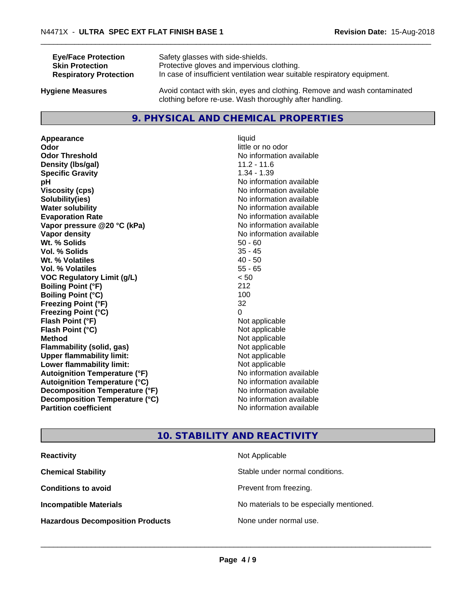| <b>Eye/Face Protection</b>    | Safety glasses with side-shields.                                        |
|-------------------------------|--------------------------------------------------------------------------|
| <b>Skin Protection</b>        | Protective gloves and impervious clothing.                               |
| <b>Respiratory Protection</b> | In case of insufficient ventilation wear suitable respiratory equipment. |
| Ivaiono Moncuros              | Avoid contact with skip eves and clothing. Remove and wash contaminated  |

**Hygiene Measures** Avoid contact with skin, eyes and clothing. Remove and wash contaminated clothing before re-use. Wash thoroughly after handling.

### **9. PHYSICAL AND CHEMICAL PROPERTIES**

**Appearance** liquid **Odor** little or no odor **Odor Threshold** No information available **Density (lbs/gal)** 11.2 - 11.6<br> **Specific Gravity** 1.34 - 1.39 **Specific Gravity pH** No information available **Viscosity (cps)** No information available **Solubility(ies)** No information available **Water solubility** No information available **Evaporation Rate No information available No information available Vapor pressure @20 °C (kPa)** No information available **Vapor density No information available No information available Wt. % Solids** 50 - 60<br> **Vol. % Solids** 50 - 60<br> **Vol. % Solids** 50 - 45 **Vol. % Solids Wt.** % Volatiles 40 - 50 **Vol. % Volatiles** 55 - 65 **VOC Regulatory Limit (g/L)** < 50 **Boiling Point (°F)** 212 **Boiling Point**  $(^{\circ}C)$  100 **Freezing Point (°F)** 32 **Freezing Point (°C)** 0 **Flash Point (°F)** Not applicable **Flash Point (°C)** Not applicable **Method** Not applicable<br> **Flammability (solid, gas)** Not applicable Not applicable **Flammability** (solid, gas) **Upper flammability limit:**<br> **Lower flammability limit:** Not applicable Not applicable **Lower flammability limit:**<br> **Autoignition Temperature (°F)** Not applicable havailable **Autoignition Temperature (°F) Autoignition Temperature (°C)** No information available **Decomposition Temperature (°F)** No information available **Decomposition Temperature (°C)**<br> **Partition coefficient**<br> **Partition coefficient**<br> **No** information available

# **No information available**

### **10. STABILITY AND REACTIVITY**

| <b>Reactivity</b>                       | Not Applicable                           |
|-----------------------------------------|------------------------------------------|
| <b>Chemical Stability</b>               | Stable under normal conditions.          |
| <b>Conditions to avoid</b>              | Prevent from freezing.                   |
| <b>Incompatible Materials</b>           | No materials to be especially mentioned. |
| <b>Hazardous Decomposition Products</b> | None under normal use.                   |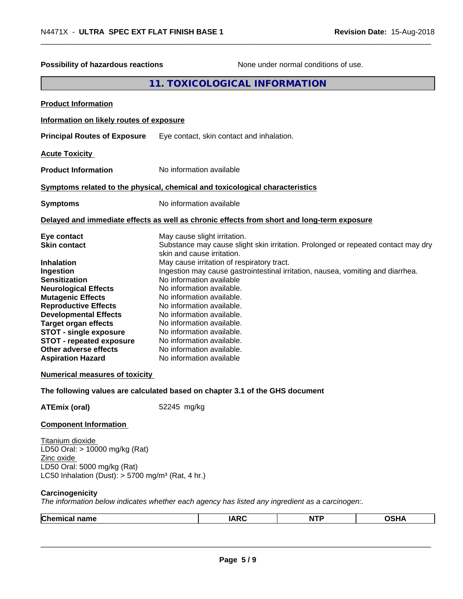| Possibility of hazardous reactions                                                                                                                                                                                                                                                                                                                                                                                      |             |                                                                                                                                                                                                                                                                                                                                                                                                          | None under normal conditions of use.                                                                                                                                 |             |
|-------------------------------------------------------------------------------------------------------------------------------------------------------------------------------------------------------------------------------------------------------------------------------------------------------------------------------------------------------------------------------------------------------------------------|-------------|----------------------------------------------------------------------------------------------------------------------------------------------------------------------------------------------------------------------------------------------------------------------------------------------------------------------------------------------------------------------------------------------------------|----------------------------------------------------------------------------------------------------------------------------------------------------------------------|-------------|
|                                                                                                                                                                                                                                                                                                                                                                                                                         |             | 11. TOXICOLOGICAL INFORMATION                                                                                                                                                                                                                                                                                                                                                                            |                                                                                                                                                                      |             |
| <b>Product Information</b>                                                                                                                                                                                                                                                                                                                                                                                              |             |                                                                                                                                                                                                                                                                                                                                                                                                          |                                                                                                                                                                      |             |
| Information on likely routes of exposure                                                                                                                                                                                                                                                                                                                                                                                |             |                                                                                                                                                                                                                                                                                                                                                                                                          |                                                                                                                                                                      |             |
| <b>Principal Routes of Exposure</b>                                                                                                                                                                                                                                                                                                                                                                                     |             | Eye contact, skin contact and inhalation.                                                                                                                                                                                                                                                                                                                                                                |                                                                                                                                                                      |             |
| <b>Acute Toxicity</b>                                                                                                                                                                                                                                                                                                                                                                                                   |             |                                                                                                                                                                                                                                                                                                                                                                                                          |                                                                                                                                                                      |             |
| <b>Product Information</b>                                                                                                                                                                                                                                                                                                                                                                                              |             | No information available                                                                                                                                                                                                                                                                                                                                                                                 |                                                                                                                                                                      |             |
| Symptoms related to the physical, chemical and toxicological characteristics                                                                                                                                                                                                                                                                                                                                            |             |                                                                                                                                                                                                                                                                                                                                                                                                          |                                                                                                                                                                      |             |
| <b>Symptoms</b>                                                                                                                                                                                                                                                                                                                                                                                                         |             | No information available                                                                                                                                                                                                                                                                                                                                                                                 |                                                                                                                                                                      |             |
| Delayed and immediate effects as well as chronic effects from short and long-term exposure                                                                                                                                                                                                                                                                                                                              |             |                                                                                                                                                                                                                                                                                                                                                                                                          |                                                                                                                                                                      |             |
| Eye contact<br><b>Skin contact</b><br><b>Inhalation</b><br>Ingestion<br><b>Sensitization</b><br><b>Neurological Effects</b><br><b>Mutagenic Effects</b><br><b>Reproductive Effects</b><br><b>Developmental Effects</b><br><b>Target organ effects</b><br><b>STOT - single exposure</b><br><b>STOT - repeated exposure</b><br>Other adverse effects<br><b>Aspiration Hazard</b><br><b>Numerical measures of toxicity</b> |             | May cause slight irritation.<br>skin and cause irritation.<br>May cause irritation of respiratory tract.<br>No information available<br>No information available.<br>No information available.<br>No information available.<br>No information available.<br>No information available.<br>No information available.<br>No information available.<br>No information available.<br>No information available | Substance may cause slight skin irritation. Prolonged or repeated contact may dry<br>Ingestion may cause gastrointestinal irritation, nausea, vomiting and diarrhea. |             |
| The following values are calculated based on chapter 3.1 of the GHS document                                                                                                                                                                                                                                                                                                                                            |             |                                                                                                                                                                                                                                                                                                                                                                                                          |                                                                                                                                                                      |             |
| <b>ATEmix (oral)</b>                                                                                                                                                                                                                                                                                                                                                                                                    | 52245 mg/kg |                                                                                                                                                                                                                                                                                                                                                                                                          |                                                                                                                                                                      |             |
| <b>Component Information</b><br>Titanium dioxide<br>LD50 Oral: > 10000 mg/kg (Rat)<br>Zinc oxide<br>LD50 Oral: 5000 mg/kg (Rat)<br>LC50 Inhalation (Dust): $> 5700$ mg/m <sup>3</sup> (Rat, 4 hr.)                                                                                                                                                                                                                      |             |                                                                                                                                                                                                                                                                                                                                                                                                          |                                                                                                                                                                      |             |
| Carcinogenicity<br>The information below indicates whether each agency has listed any ingredient as a carcinogen:.                                                                                                                                                                                                                                                                                                      |             |                                                                                                                                                                                                                                                                                                                                                                                                          |                                                                                                                                                                      |             |
| <b>Chemical name</b>                                                                                                                                                                                                                                                                                                                                                                                                    |             | <b>IARC</b>                                                                                                                                                                                                                                                                                                                                                                                              | <b>NTP</b>                                                                                                                                                           | <b>OSHA</b> |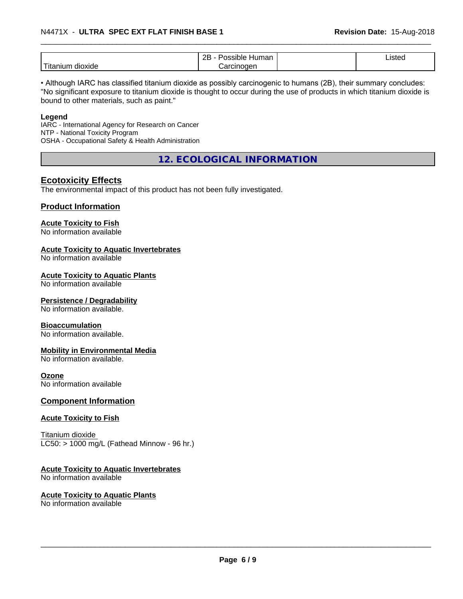|                                                                                                                                                                                                                                                                                                                                                                                                                                                                                                  | ם מ<br>.<br>nun<br>наг<br><u>_ _</u> | $\overline{\phantom{a}}$<br>$\pm 10^{+1}$<br>'Ste⊾<br>.<br>$- - - - - -$ |
|--------------------------------------------------------------------------------------------------------------------------------------------------------------------------------------------------------------------------------------------------------------------------------------------------------------------------------------------------------------------------------------------------------------------------------------------------------------------------------------------------|--------------------------------------|--------------------------------------------------------------------------|
| $\frac{1}{2} \left( \frac{1}{2} \right) \left( \frac{1}{2} \right) \left( \frac{1}{2} \right) \left( \frac{1}{2} \right) \left( \frac{1}{2} \right) \left( \frac{1}{2} \right) \left( \frac{1}{2} \right) \left( \frac{1}{2} \right) \left( \frac{1}{2} \right) \left( \frac{1}{2} \right) \left( \frac{1}{2} \right) \left( \frac{1}{2} \right) \left( \frac{1}{2} \right) \left( \frac{1}{2} \right) \left( \frac{1}{2} \right) \left( \frac{1}{2} \right) \left( \frac$<br>dioxide<br>itanium | <br>naer<br>. JII 1                  |                                                                          |

• Although IARC has classified titanium dioxide as possibly carcinogenic to humans (2B), their summary concludes: "No significant exposure to titanium dioxide is thought to occur during the use of products in which titanium dioxide is bound to other materials, such as paint."

### **Legend**

IARC - International Agency for Research on Cancer NTP - National Toxicity Program OSHA - Occupational Safety & Health Administration

**12. ECOLOGICAL INFORMATION**

### **Ecotoxicity Effects**

The environmental impact of this product has not been fully investigated.

### **Product Information**

### **Acute Toxicity to Fish**

No information available

### **Acute Toxicity to Aquatic Invertebrates**

No information available

### **Acute Toxicity to Aquatic Plants**

No information available

### **Persistence / Degradability**

No information available.

### **Bioaccumulation**

No information available.

### **Mobility in Environmental Media**

No information available.

### **Ozone**

No information available

### **Component Information**

### **Acute Toxicity to Fish**

Titanium dioxide  $LC50:$  > 1000 mg/L (Fathead Minnow - 96 hr.)

### **Acute Toxicity to Aquatic Invertebrates**

No information available

### **Acute Toxicity to Aquatic Plants**

No information available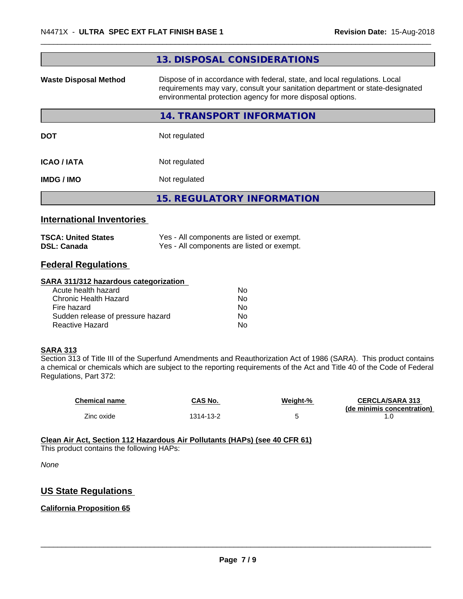|                                  | 13. DISPOSAL CONSIDERATIONS                                                                                                                                                                                               |
|----------------------------------|---------------------------------------------------------------------------------------------------------------------------------------------------------------------------------------------------------------------------|
| <b>Waste Disposal Method</b>     | Dispose of in accordance with federal, state, and local regulations. Local<br>requirements may vary, consult your sanitation department or state-designated<br>environmental protection agency for more disposal options. |
|                                  | 14. TRANSPORT INFORMATION                                                                                                                                                                                                 |
| <b>DOT</b>                       | Not regulated                                                                                                                                                                                                             |
| ICAO / IATA                      | Not regulated                                                                                                                                                                                                             |
| IMDG / IMO                       | Not regulated                                                                                                                                                                                                             |
|                                  | <b>15. REGULATORY INFORMATION</b>                                                                                                                                                                                         |
| <b>International Inventories</b> |                                                                                                                                                                                                                           |

| <b>TSCA: United States</b> | Yes - All components are listed or exempt. |
|----------------------------|--------------------------------------------|
| <b>DSL: Canada</b>         | Yes - All components are listed or exempt. |

### **Federal Regulations**

### **SARA 311/312 hazardous categorization**

| Acute health hazard               | No. |  |
|-----------------------------------|-----|--|
| Chronic Health Hazard             | No. |  |
| Fire hazard                       | No. |  |
| Sudden release of pressure hazard | Nο  |  |
| Reactive Hazard                   | Nο  |  |

### **SARA 313**

Section 313 of Title III of the Superfund Amendments and Reauthorization Act of 1986 (SARA). This product contains a chemical or chemicals which are subject to the reporting requirements of the Act and Title 40 of the Code of Federal Regulations, Part 372:

| <b>Chemical name</b> | CAS No.   | Weight-% | <b>CERCLA/SARA 313</b><br>(de minimis concentration) |
|----------------------|-----------|----------|------------------------------------------------------|
| Zinc oxide           | 1314-13-2 |          |                                                      |

### **Clean Air Act,Section 112 Hazardous Air Pollutants (HAPs) (see 40 CFR 61)**

This product contains the following HAPs:

*None*

### **US State Regulations**

### **California Proposition 65**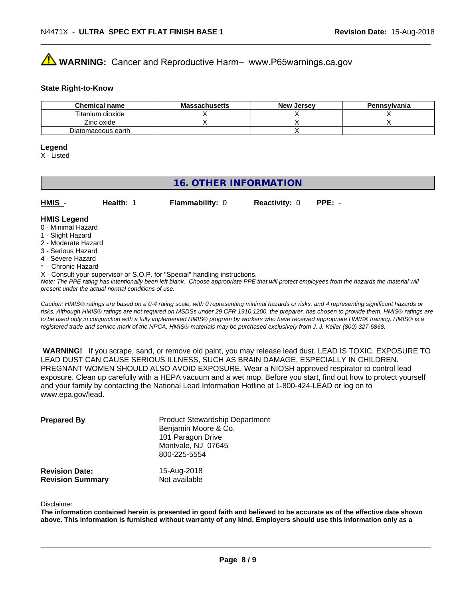# **AVIMARNING:** Cancer and Reproductive Harm– www.P65warnings.ca.gov

### **State Right-to-Know**

| <b>Chemical name</b> | <b>Massachusetts</b> | <b>New Jersey</b> | Pennsylvania |
|----------------------|----------------------|-------------------|--------------|
| Titanium dioxide     |                      |                   |              |
| Zinc oxide           |                      |                   |              |
| Diatomaceous earth   |                      |                   |              |

### **Legend**

X - Listed

### **16. OTHER INFORMATION**

| <u>HMIS</u> -      | Health: 1 | <b>Flammability: 0</b> | <b>Reactivity: 0</b> | $PPE: -$ |  |
|--------------------|-----------|------------------------|----------------------|----------|--|
| <b>HMIS Legend</b> |           |                        |                      |          |  |

### 0 - Minimal Hazard

- 1 Slight Hazard
- 2 Moderate Hazard
- 3 Serious Hazard
- 4 Severe Hazard
- \* Chronic Hazard
- X Consult your supervisor or S.O.P. for "Special" handling instructions.

*Note: The PPE rating has intentionally been left blank. Choose appropriate PPE that will protect employees from the hazards the material will present under the actual normal conditions of use.*

*Caution: HMISÒ ratings are based on a 0-4 rating scale, with 0 representing minimal hazards or risks, and 4 representing significant hazards or risks. Although HMISÒ ratings are not required on MSDSs under 29 CFR 1910.1200, the preparer, has chosen to provide them. HMISÒ ratings are to be used only in conjunction with a fully implemented HMISÒ program by workers who have received appropriate HMISÒ training. HMISÒ is a registered trade and service mark of the NPCA. HMISÒ materials may be purchased exclusively from J. J. Keller (800) 327-6868.*

 **WARNING!** If you scrape, sand, or remove old paint, you may release lead dust. LEAD IS TOXIC. EXPOSURE TO LEAD DUST CAN CAUSE SERIOUS ILLNESS, SUCH AS BRAIN DAMAGE, ESPECIALLY IN CHILDREN. PREGNANT WOMEN SHOULD ALSO AVOID EXPOSURE.Wear a NIOSH approved respirator to control lead exposure. Clean up carefully with a HEPA vacuum and a wet mop. Before you start, find out how to protect yourself and your family by contacting the National Lead Information Hotline at 1-800-424-LEAD or log on to www.epa.gov/lead.

| <b>Prepared By</b>                               | <b>Product Stewardship Department</b><br>Benjamin Moore & Co.<br>101 Paragon Drive<br>Montvale, NJ 07645<br>800-225-5554 |  |
|--------------------------------------------------|--------------------------------------------------------------------------------------------------------------------------|--|
| <b>Revision Date:</b><br><b>Revision Summary</b> | 15-Aug-2018<br>Not available                                                                                             |  |

### Disclaimer

The information contained herein is presented in good faith and believed to be accurate as of the effective date shown above. This information is furnished without warranty of any kind. Employers should use this information only as a